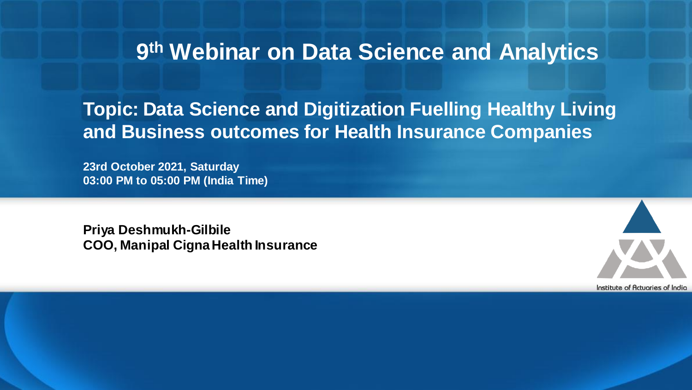# **9 th Webinar on Data Science and Analytics**

### **Topic: Data Science and Digitization Fuelling Healthy Living and Business outcomes for Health Insurance Companies**

**23rd October 2021, Saturday 03:00 PM to 05:00 PM (India Time)**

**Priya Deshmukh-Gilbile COO, Manipal Cigna Health Insurance**

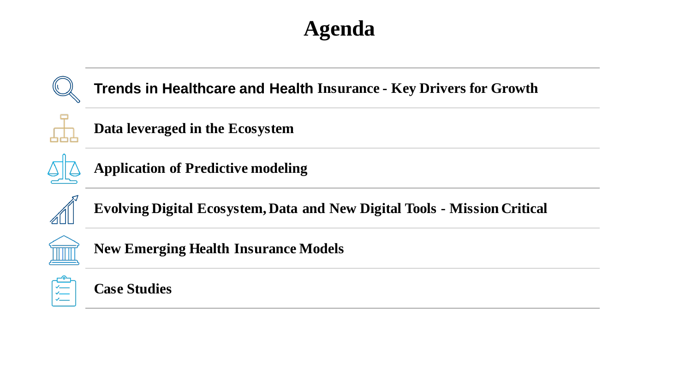# **Agenda**





**Case Studies**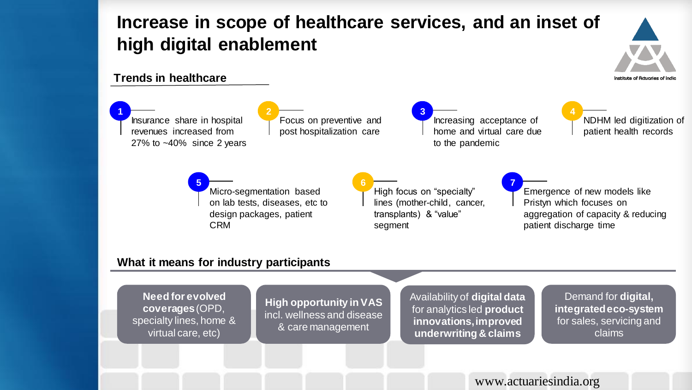### **Increase in scope of healthcare services, and an inset of high digital enablement**

# stitute of Actuories of Indic

### **Trends in healthcare**

**1** Insurance share in hospital revenues increased from 27% to ~40% since 2 years

Focus on preventive and post hospitalization care

**3** Increasing acceptance of home and virtual care due to the pandemic

**7**

**4** NDHM led digitization of patient health records

**5** Micro-segmentation based on lab tests, diseases, etc to design packages, patient CRM

**2**

**6** High focus on "specialty" lines (mother-child, cancer, transplants) & "value" segment

Emergence of new models like Pristyn which focuses on aggregation of capacity & reducing patient discharge time

### **What it means for industry participants**

**Need for evolved coverages**(OPD, specialty lines, home & virtual care, etc)

**High opportunity in VAS**  incl. wellness and disease & care management

Availability of **digital data** for analytics led **product innovations, improved underwriting & claims**

Demand for **digital, integrated eco-system** for sales, servicing and claims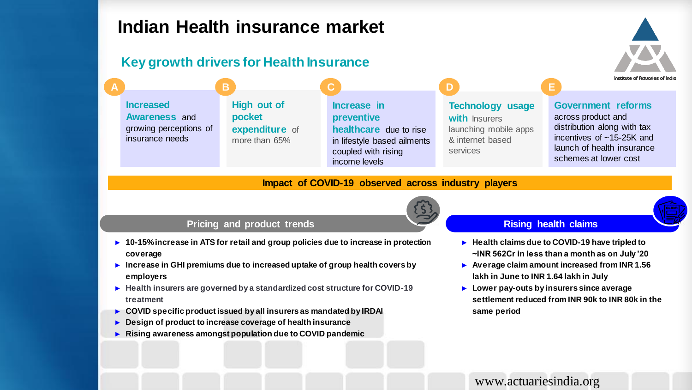### **Indian Health insurance market**

### **Key growth drivers for Health Insurance**

**Increased Awareness** and growing perceptions of insurance needs **A B C D E**

**High out of pocket expenditure** of more than 65%

**Increase in preventive healthcare** due to rise in lifestyle based ailments coupled with rising income levels

#### **Technology usage with** Insurers launching mobile apps

& internet based

services

**Government reforms** 

Institute of Actuaries of Indio

across product and distribution along with tax incentives of ~15-25K and launch of health insurance schemes at lower cost

#### **Impact of COVID-19 observed across industry players**

#### **Pricing and product trends**

- ► **10-15% increase in ATS for retail and group policies due to increase in protection coverage**
- ► **Increase in GHI premiums due to increased uptake of group health covers by employers**
- ► **Health insurers are governed by a standardized cost structure for COVID-19 treatment**
- ► **COVID specific product issued by all insurers as mandated by IRDAI**
- ► **Design of product to increase coverage of health insurance**
- ► **Rising awareness amongst population due to COVID pandemic**

#### **Rising health claims**

- ► **Health claims due to COVID-19 have tripled to ~INR 562Cr in less than a month as on July '20**
- ► **Average claim amount increased from INR 1.56 lakh in June to INR 1.64 lakh in July**
- ► **Lower pay-outs by insurers since average settlement reduced from INR 90k to INR 80k in the same period**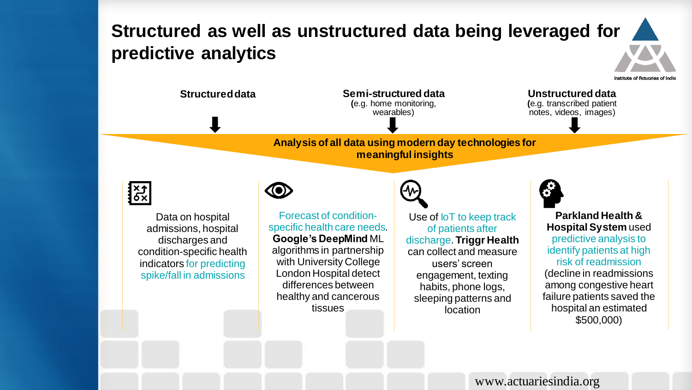### **Structured as well as unstructured data being leveraged for predictive analytics**





Data on hospital admissions, hospital discharges and condition-specific health indicators for predicting spike/fall in admissions



Forecast of conditionspecific health care needs. **Google's DeepMind** ML algorithms in partnership with University College London Hospital detect differences between healthy and cancerous tissues



Use of **IoT** to keep track of patients after discharge. **Triggr Health** can collect and measure users' screen engagement, texting habits, phone logs, sleeping patterns and location



**Parkland Health & Hospital System** used predictive analysis to identify patients at high risk of readmission (decline in readmissions among congestive heart failure patients saved the hospital an estimated \$500,000)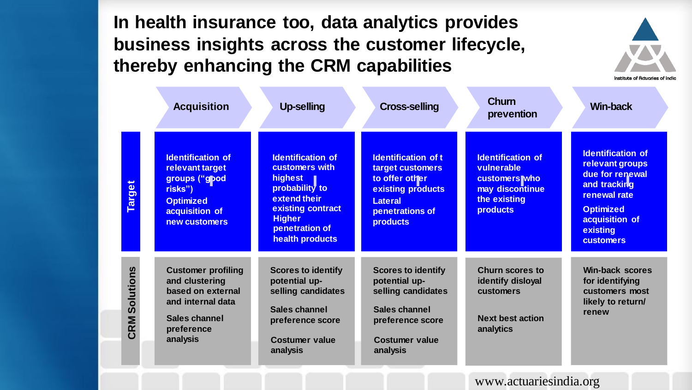**In health insurance too, data analytics provides business insights across the customer lifecycle, thereby enhancing the CRM capabilities**

|                  | <b>Acquisition</b>                                                                                                               | <b>Up-selling</b>                                                                                                                                                  | <b>Cross-selling</b>                                                                                                                          | <b>Churn</b><br>prevention                                                                                           | <b>Win-back</b>                                                                                                                                                      |
|------------------|----------------------------------------------------------------------------------------------------------------------------------|--------------------------------------------------------------------------------------------------------------------------------------------------------------------|-----------------------------------------------------------------------------------------------------------------------------------------------|----------------------------------------------------------------------------------------------------------------------|----------------------------------------------------------------------------------------------------------------------------------------------------------------------|
| <b>Target</b>    | <b>Identification of</b><br>relevant target<br>groups ("gpod<br>risks")<br><b>Optimized</b><br>acquisition of<br>new customers   | <b>Identification of</b><br>customers with<br>highest<br>probability to<br>extend their<br>existing contract<br><b>Higher</b><br>penetration of<br>health products | <b>Identification of t</b><br>target customers<br>to offer other<br>existing products<br><b>Lateral</b><br>penetrations of<br><b>products</b> | <b>Identification of</b><br>vulnerable<br><b>customers</b> who<br>may discontinue<br>the existing<br><b>products</b> | <b>Identification of</b><br>relevant groups<br>due for renewal<br>and tracking<br>renewal rate<br><b>Optimized</b><br>acquisition of<br>existing<br><b>customers</b> |
| Solutions<br>CRM | <b>Customer profiling</b><br>and clustering<br>based on external<br>and internal data<br>Sales channel<br>preference<br>analysis | <b>Scores to identify</b><br>potential up-<br>selling candidates<br>Sales channel<br>preference score<br><b>Costumer value</b><br>analysis                         | <b>Scores to identify</b><br>potential up-<br>selling candidates<br>Sales channel<br>preference score<br><b>Costumer value</b><br>analysis    | <b>Churn scores to</b><br>identify disloyal<br>customers<br><b>Next best action</b><br>analytics                     | <b>Win-back scores</b><br>for identifying<br>customers most<br>likely to return/<br>renew                                                                            |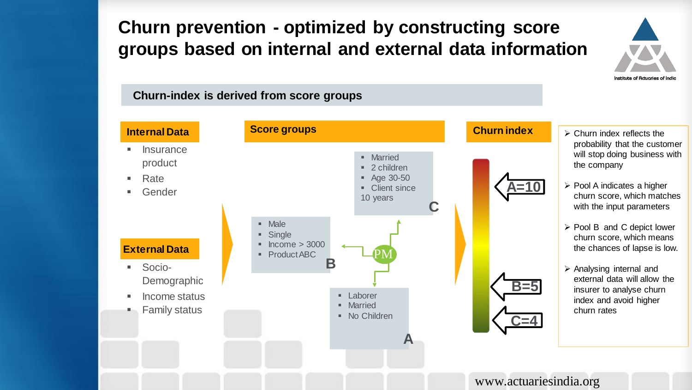### **Churn prevention - optimized by constructing score groups based on internal and external data information**



#### **Churn-index is derived from score groups**

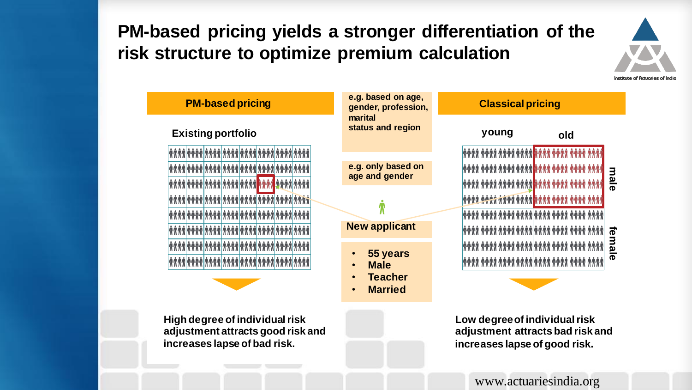### **PM-based pricing yields a stronger differentiation of the risk structure to optimize premium calculation**





**High degree of individualrisk adjustment attracts good risk and increases lapse of bad risk.** 

**Low degree of individual risk adjustment attracts bad risk and increases lapse of good risk.**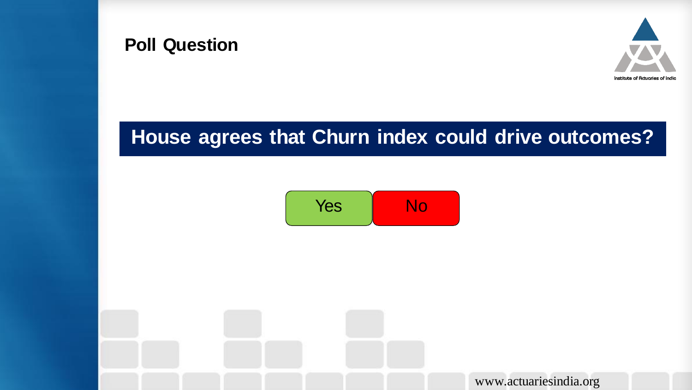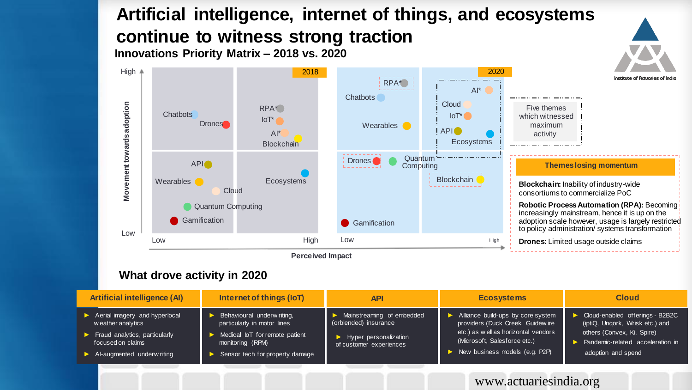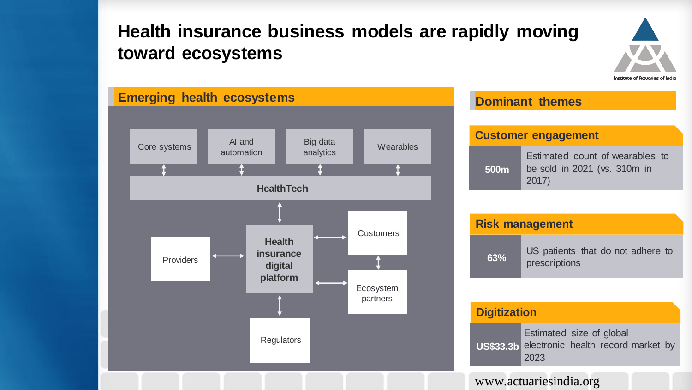### **Health insurance business models are rapidly moving toward ecosystems**





| <b>Customer engagement</b> |                                                                          |  |  |  |  |  |  |
|----------------------------|--------------------------------------------------------------------------|--|--|--|--|--|--|
| 500 <sub>m</sub>           | Estimated count of wearables to<br>be sold in 2021 (vs. 310m in<br>2017) |  |  |  |  |  |  |

| <b>Risk management</b> |                                                    |  |  |  |  |  |
|------------------------|----------------------------------------------------|--|--|--|--|--|
| 63%                    | US patients that do not adhere to<br>prescriptions |  |  |  |  |  |

#### **Digitization**

Estimated size of global electronic health record market by 2023 **US\$33.3b**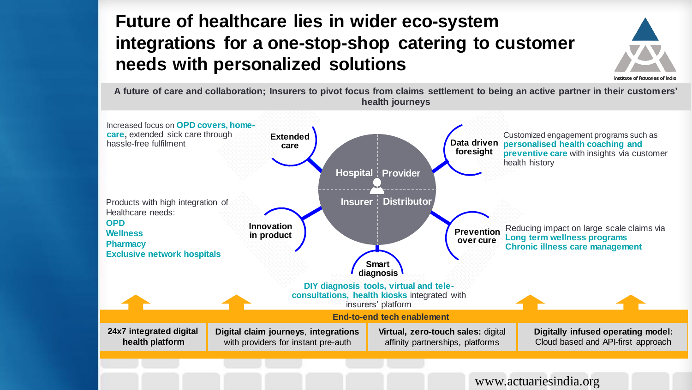### **Future of healthcare lies in wider eco-system integrations for a one-stop-shop catering to customer needs with personalized solutions**



**A future of care and collaboration; Insurers to pivot focus from claims settlement to being an active partner in their customers' health journeys** 

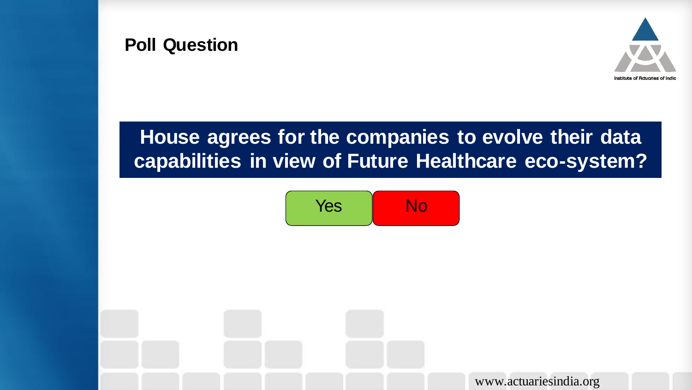

### **Poll Question**

## **House agrees for the companies to evolve their data capabilities in view of Future Healthcare eco-system?**

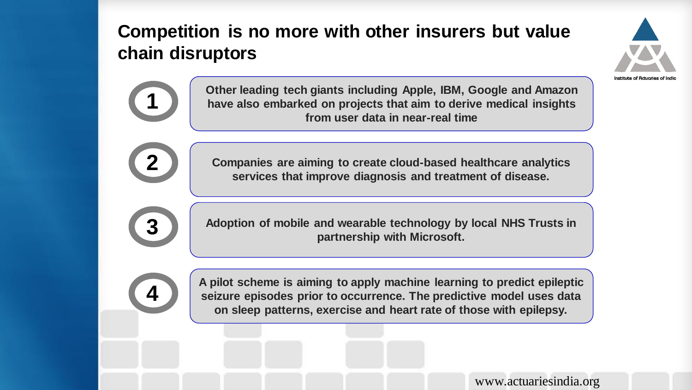### **Competition is no more with other insurers but value chain disruptors**



**Other leading tech giants including Apple, IBM, Google and Amazon have also embarked on projects that aim to derive medical insights from user data in near-real time**

**Companies are aiming to create cloud-based healthcare analytics services that improve diagnosis and treatment of disease.**



**1**

**2**

**Adoption of mobile and wearable technology by local NHS Trusts in partnership with Microsoft.**

**4**

**A pilot scheme is aiming to apply machine learning to predict epileptic seizure episodes prior to occurrence. The predictive model uses data on sleep patterns, exercise and heart rate of those with epilepsy.**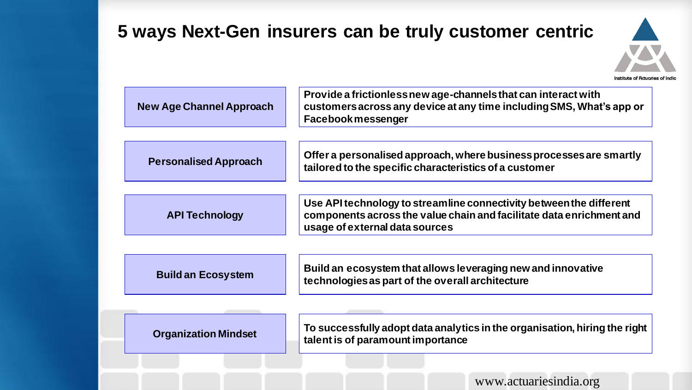### **5 ways Next-Gen insurers can be truly customer centric**



| <b>New Age Channel Approach</b> | Provide a frictionless new age-channels that can interact with<br>customers across any device at any time including SMS, What's app or<br><b>Facebook messenger</b>           |
|---------------------------------|-------------------------------------------------------------------------------------------------------------------------------------------------------------------------------|
| <b>Personalised Approach</b>    | Offer a personalised approach, where business processes are smartly<br>tailored to the specific characteristics of a customer                                                 |
| <b>API Technology</b>           | Use API technology to streamline connectivity between the different<br>components across the value chain and facilitate data enrichment and<br>usage of external data sources |
| <b>Build an Ecosystem</b>       | Build an ecosystem that allows leveraging new and innovative<br>technologies as part of the overall architecture                                                              |
| <b>Organization Mindset</b>     | To successfully adopt data analytics in the organisation, hiring the right<br>talent is of paramount importance                                                               |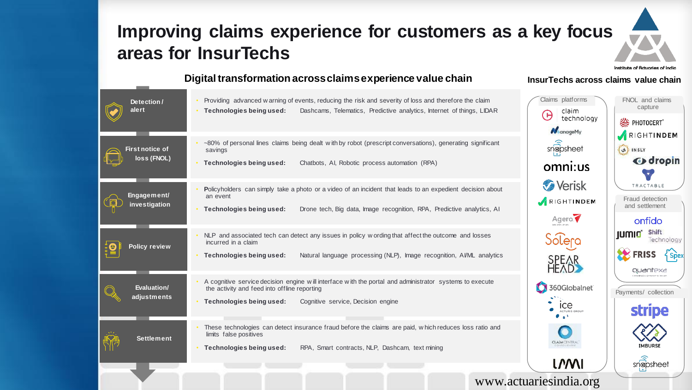### **Improving claims experience for customers as a key focus areas for InsurTechs**



#### **Digital transformation across claims experience value chain InsurTechs across claims value chain**

| Detection/<br>alert                   | Providing advanced warning of events, reducing the risk and severity of loss and therefore the claim<br>Technologies being used:<br>Dashcams, Telematics, Predictive analytics, Internet of things, LIDAR                      | Claims platforms<br>claim<br>$\Theta$<br>technology<br>ManageMy | FNOL and claims<br>capture<br><b>参 PHOTOCERT</b>                                                     |
|---------------------------------------|--------------------------------------------------------------------------------------------------------------------------------------------------------------------------------------------------------------------------------|-----------------------------------------------------------------|------------------------------------------------------------------------------------------------------|
| <b>First notice of</b><br>loss (FNOL) | ~80% of personal lines claims being dealt with by robot (prescript conversations), generating significant<br>savings<br>Technologies being used:<br>Chatbots, AI, Robotic process automation (RPA)                             | snapsheet<br>omni:us                                            | RIGHTINDEM<br>O INSLY<br><b>G</b> dropin<br>TRACTABLE<br>Fraud detection<br>and settlement<br>onfido |
| Engagement/<br>investigation          | Policyholders can simply take a photo or a video of an incident that leads to an expedient decision about<br>an event<br>Drone tech, Big data, Image recognition, RPA, Predictive analytics, AI<br>Technologies being used:    | <b>A</b> Verisk<br>RIGHTINDEM<br>Agero.                         |                                                                                                      |
| <b>Policy review</b>                  | NLP and associated tech can detect any issues in policy w ording that affect the outcome and losses<br>incurred in a claim<br>Technologies being used:<br>Natural language processing (NLP), Image recognition, AVML analytics | <b>Solero</b><br>SPEAR<br>HEAD                                  | <b>Shift</b><br><b>IUMIO</b><br>Technology<br><b>Spex</b><br>quantexa                                |
| Evaluation/<br>adjustments            | A cognitive service decision engine will interface with the portal and administrator systems to execute<br>the activity and feed into offline reporting<br>Technologies being used:<br>Cognitive service, Decision engine      | 360Globalnet <sup>®</sup><br>ıce<br><b>ACTURIS GROUP</b>        | Payments/ collection<br><b>stripe</b>                                                                |
| <b>Settlement</b>                     | These technologies can detect insurance fraud before the claims are paid, which reduces loss ratio and<br>limits false positives<br>RPA, Smart contracts, NLP, Dashcam, text mining<br>Technologies being used:                | <b>CLAIM CENTRA</b><br><i><b>LNNI</b></i>                       | IMBURSE<br>snapsheet                                                                                 |
|                                       |                                                                                                                                                                                                                                | www.actuariesindia.org                                          |                                                                                                      |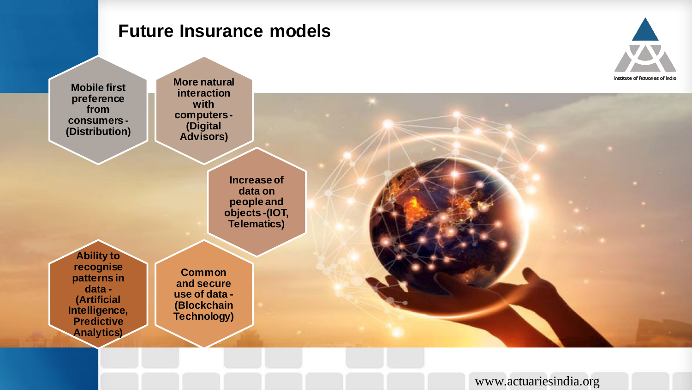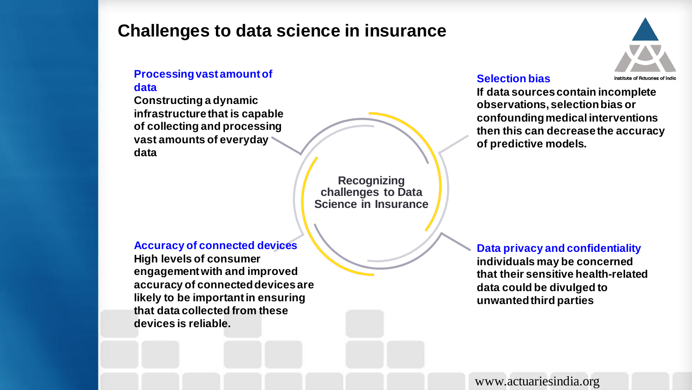### **Challenges to data science in insurance**

### **Processing vast amount of**

#### **data**

**Constructing a dynamic infrastructure that is capable of collecting and processing vast amounts of everyday data**

> **Recognizing challenges to Data Science in Insurance**

#### **Accuracy of connected devices**

**High levels of consumer engagement with and improved accuracy of connected devices are likely to be important in ensuring that data collected from these devices is reliable.**



#### **Selection bias**

**If data sources contain incomplete observations, selection bias or confounding medical interventions then this can decrease the accuracy of predictive models.** 

**Data privacy and confidentiality individuals may be concerned that their sensitive health-related data could be divulged to unwanted third parties**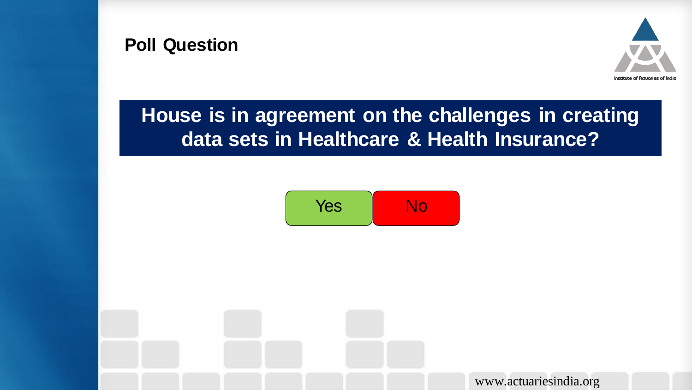



## **House is in agreement on the challenges in creating data sets in Healthcare & Health Insurance?**

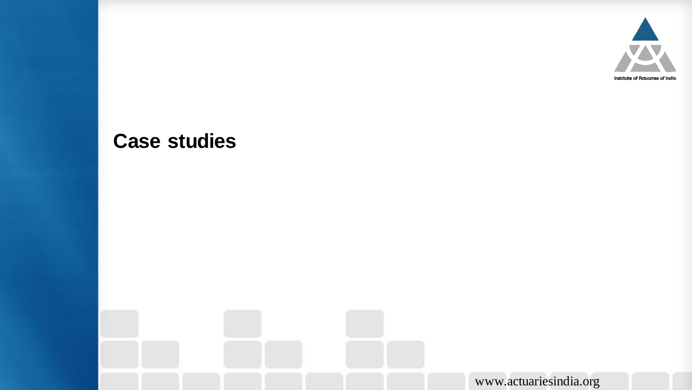

### **Case studies**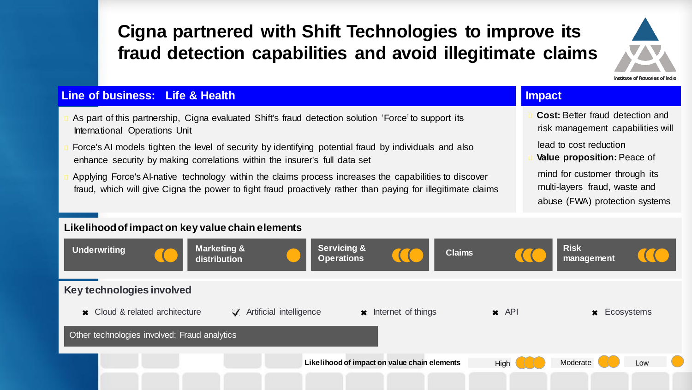### **Cigna partnered with Shift Technologies to improve its fraud detection capabilities and avoid illegitimate claims**



#### **Line of business: Life & Health Impact**

- As part of this partnership, Cigna evaluated Shift's fraud detection solution 'Force' to support its International Operations Unit
- Force's AI models tighten the level of security by identifying potential fraud by individuals and also enhance security by making correlations within the insurer's full data set
- Applying Force's AI-native technology within the claims process increases the capabilities to discover fraud, which will give Cigna the power to fight fraud proactively rather than paying for illegitimate claims

**Cost:** Better fraud detection and risk management capabilities will

lead to cost reduction

**Value proposition:** Peace of mind for customer through its multi-layers fraud, waste and abuse (FWA) protection systems

#### **Key technologies involved \*** Cloud & related architecture Other technologies involved: Fraud analytics **Likelihood of impact on value chain elements** High  $\left(\begin{array}{c} \end{array}\right)$  Moderate Low **Likelihood of impact on key value chain elements Risk management**  $\sqrt{\phantom{a}}$  Artificial intelligence  $\sqrt{\phantom{a}}$  Internet of things  $\sqrt{\phantom{a}}$  API  $\sqrt{\phantom{a}}$  Ecosystems **Underwriting and Marketing & distribution Servicing & Operations Claims**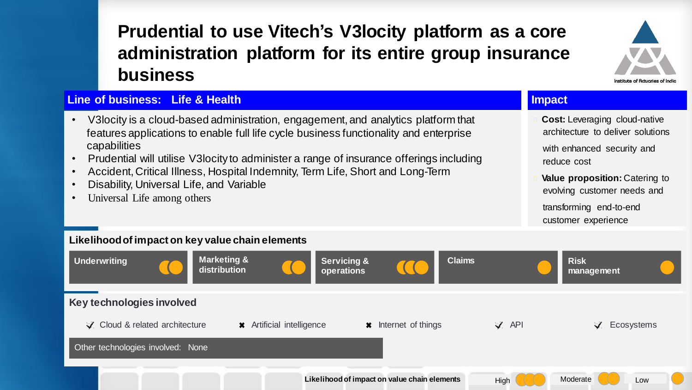### **Prudential to use Vitech's V3locity platform as a core administration platform for its entire group insurance business**



#### **Line of business: Life & Health**

- V3locity is a cloud-based administration, engagement, and analytics platform that features applications to enable full life cycle business functionality and enterprise capabilities
- Prudential will utilise V3locity to administer a range of insurance offerings including
- Accident, Critical Illness, Hospital Indemnity, Term Life, Short and Long-Term
- Disability, Universal Life, and Variable
- Universal Life among others

#### **Impact**

**Cost:** Leveraging cloud-native architecture to deliver solutions

with enhanced security and reduce cost

**Value proposition:** Catering to evolving customer needs and

transforming end-to-end customer experience

#### **Key technologies involved** Cloud & related architecture Other technologies involved: None **Likelihood of impact on key value chain elements Underwriting Community Community Community Community Community Community Community Community Community Community operations Risk management \*** Artificial intelligence  $\bullet$  **\*** Internet of things  $\bullet$  API  $\bullet$  Ecosystems **Claims Likelihood of impact on value chain elements** High  $\left(\begin{array}{c} \end{array}\right)$  Moderate Low **Marketing & distribution**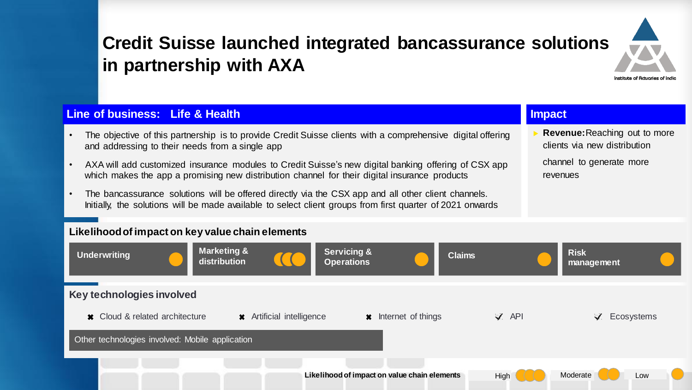

### **Credit Suisse launched integrated bancassurance solutions in partnership with AXA**

#### **Line of business: Life & Health Impact**

- The objective of this partnership is to provide Credit Suisse clients with a comprehensive digital offering and addressing to their needs from a single app
- AXA will add customized insurance modules to Credit Suisse's new digital banking offering of CSX app which makes the app a promising new distribution channel for their digital insurance products
- The bancassurance solutions will be offered directly via the CSX app and all other client channels. Initially, the solutions will be made available to select client groups from first quarter of 2021 onwards

 **Revenue:**Reaching out to more clients via new distribution channel to generate more revenues

#### **Likelihood of impact on key value chain elements**